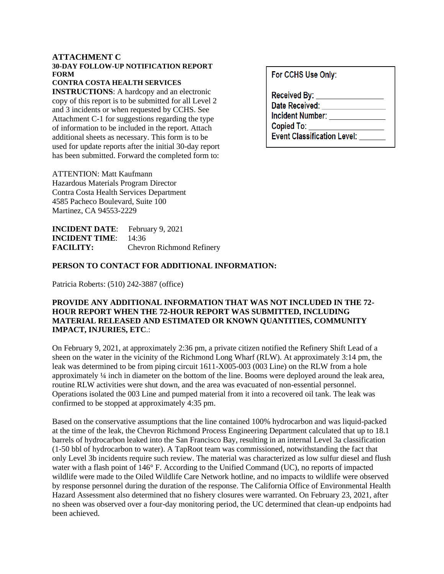#### **ATTACHMENT C**

### **30-DAY FOLLOW-UP NOTIFICATION REPORT FORM**

#### **CONTRA COSTA HEALTH SERVICES**

**INSTRUCTIONS**: A hardcopy and an electronic copy of this report is to be submitted for all Level 2 and 3 incidents or when requested by CCHS. See Attachment C-1 for suggestions regarding the type of information to be included in the report. Attach additional sheets as necessary. This form is to be used for update reports after the initial 30-day report has been submitted. Forward the completed form to:

For CCHS Use Only:

**Received By:** Date Received: **Incident Number: Copied To: Event Classification Level:** 

ATTENTION: Matt Kaufmann Hazardous Materials Program Director Contra Costa Health Services Department 4585 Pacheco Boulevard, Suite 100 Martinez, CA 94553-2229

**INCIDENT DATE**: February 9, 2021 **INCIDENT TIME**: 14:36 **FACILITY:** Chevron Richmond Refinery

### **PERSON TO CONTACT FOR ADDITIONAL INFORMATION:**

Patricia Roberts: (510) 242-3887 (office)

## **PROVIDE ANY ADDITIONAL INFORMATION THAT WAS NOT INCLUDED IN THE 72- HOUR REPORT WHEN THE 72-HOUR REPORT WAS SUBMITTED, INCLUDING MATERIAL RELEASED AND ESTIMATED OR KNOWN QUANTITIES, COMMUNITY IMPACT, INJURIES, ETC**.:

On February 9, 2021, at approximately 2:36 pm, a private citizen notified the Refinery Shift Lead of a sheen on the water in the vicinity of the Richmond Long Wharf (RLW). At approximately 3:14 pm, the leak was determined to be from piping circuit 1611-X005-003 (003 Line) on the RLW from a hole approximately ¼ inch in diameter on the bottom of the line. Booms were deployed around the leak area, routine RLW activities were shut down, and the area was evacuated of non-essential personnel. Operations isolated the 003 Line and pumped material from it into a recovered oil tank. The leak was confirmed to be stopped at approximately 4:35 pm.

Based on the conservative assumptions that the line contained 100% hydrocarbon and was liquid-packed at the time of the leak, the Chevron Richmond Process Engineering Department calculated that up to 18.1 barrels of hydrocarbon leaked into the San Francisco Bay, resulting in an internal Level 3a classification (1-50 bbl of hydrocarbon to water). A TapRoot team was commissioned, notwithstanding the fact that only Level 3b incidents require such review. The material was characterized as low sulfur diesel and flush water with a flash point of 146° F. According to the Unified Command (UC), no reports of impacted wildlife were made to the Oiled Wildlife Care Network hotline, and no impacts to wildlife were observed by response personnel during the duration of the response. The California Office of Environmental Health Hazard Assessment also determined that no fishery closures were warranted. On February 23, 2021, after no sheen was observed over a four-day monitoring period, the UC determined that clean-up endpoints had been achieved.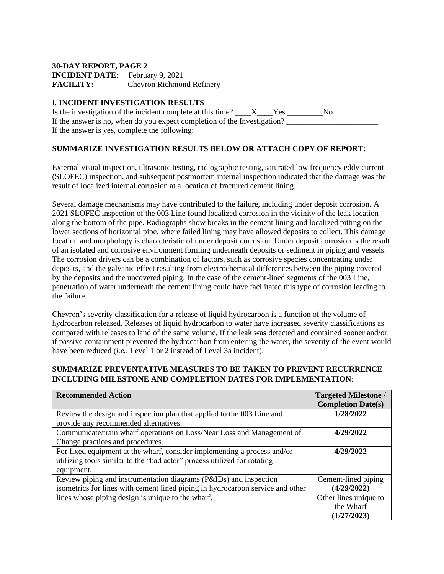# **30-DAY REPORT, PAGE 2**

**INCIDENT DATE**: February 9, 2021 **FACILITY:** Chevron Richmond Refinery

## I. **INCIDENT INVESTIGATION RESULTS**

Is the investigation of the incident complete at this time?  $X$  Yes No If the answer is no, when do you expect completion of the Investigation? If the answer is yes, complete the following:

## **SUMMARIZE INVESTIGATION RESULTS BELOW OR ATTACH COPY OF REPORT**:

External visual inspection, ultrasonic testing, radiographic testing, saturated low frequency eddy current (SLOFEC) inspection, and subsequent postmortem internal inspection indicated that the damage was the result of localized internal corrosion at a location of fractured cement lining.

Several damage mechanisms may have contributed to the failure, including under deposit corrosion. A 2021 SLOFEC inspection of the 003 Line found localized corrosion in the vicinity of the leak location along the bottom of the pipe. Radiographs show breaks in the cement lining and localized pitting on the lower sections of horizontal pipe, where failed lining may have allowed deposits to collect. This damage location and morphology is characteristic of under deposit corrosion. Under deposit corrosion is the result of an isolated and corrosive environment forming underneath deposits or sediment in piping and vessels. The corrosion drivers can be a combination of factors, such as corrosive species concentrating under deposits, and the galvanic effect resulting from electrochemical differences between the piping covered by the deposits and the uncovered piping. In the case of the cement-lined segments of the 003 Line, penetration of water underneath the cement lining could have facilitated this type of corrosion leading to the failure.

Chevron's severity classification for a release of liquid hydrocarbon is a function of the volume of hydrocarbon released. Releases of liquid hydrocarbon to water have increased severity classifications as compared with releases to land of the same volume. If the leak was detected and contained sooner and/or if passive containment prevented the hydrocarbon from entering the water, the severity of the event would have been reduced (*i.e.,* Level 1 or 2 instead of Level 3a incident).

## **SUMMARIZE PREVENTATIVE MEASURES TO BE TAKEN TO PREVENT RECURRENCE INCLUDING MILESTONE AND COMPLETION DATES FOR IMPLEMENTATION**:

| <b>Recommended Action</b>                                                                                                                                                                                | <b>Targeted Milestone /</b><br><b>Completion Date(s)</b>                                |
|----------------------------------------------------------------------------------------------------------------------------------------------------------------------------------------------------------|-----------------------------------------------------------------------------------------|
| Review the design and inspection plan that applied to the 003 Line and<br>provide any recommended alternatives.                                                                                          | 1/28/2022                                                                               |
| Communicate/train wharf operations on Loss/Near Loss and Management of<br>Change practices and procedures.                                                                                               | 4/29/2022                                                                               |
| For fixed equipment at the wharf, consider implementing a process and/or<br>utilizing tools similar to the "bad actor" process utilized for rotating<br>equipment.                                       | 4/29/2022                                                                               |
| Review piping and instrumentation diagrams (P&IDs) and inspection<br>isometrics for lines with cement lined piping in hydrocarbon service and other<br>lines whose piping design is unique to the wharf. | Cement-lined piping<br>(4/29/2022)<br>Other lines unique to<br>the Wharf<br>(1/27/2023) |